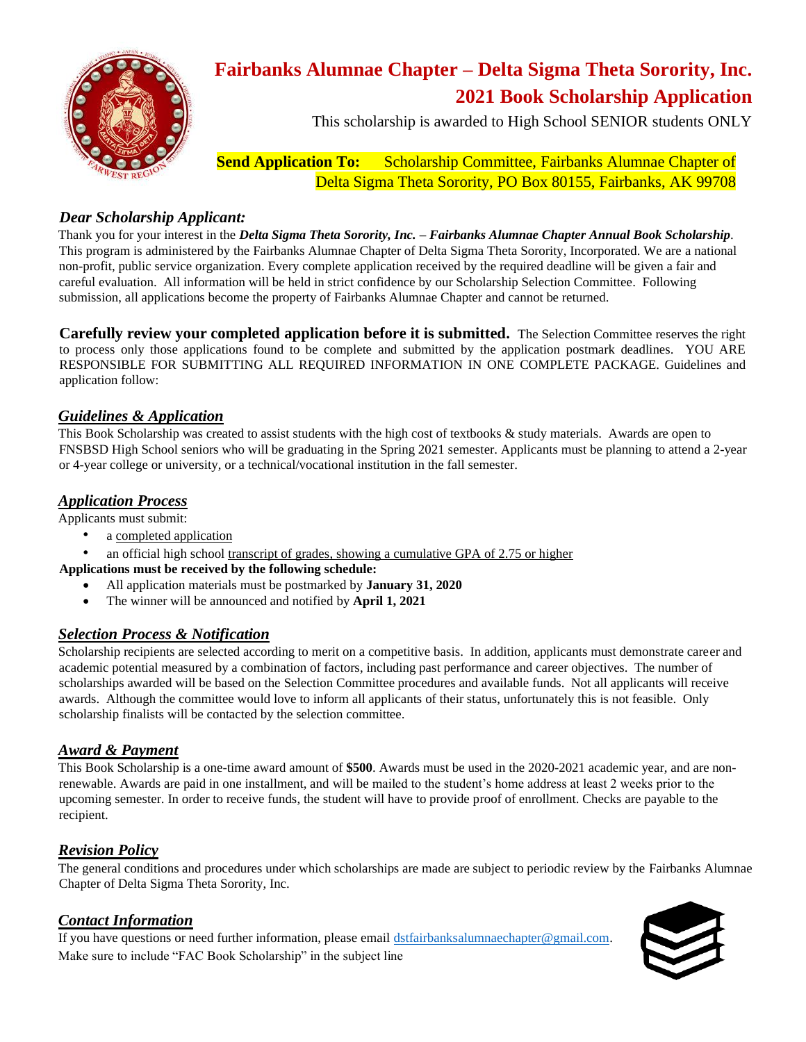

# **Fairbanks Alumnae Chapter – Delta Sigma Theta Sorority, Inc. 2021 Book Scholarship Application**

This scholarship is awarded to High School SENIOR students ONLY

**Send Application To:** Scholarship Committee, Fairbanks Alumnae Chapter of Delta Sigma Theta Sorority, PO Box 80155, Fairbanks, AK 99708

#### *Dear Scholarship Applicant:*

Thank you for your interest in the *Delta Sigma Theta Sorority, Inc. – Fairbanks Alumnae Chapter Annual Book Scholarship*. This program is administered by the Fairbanks Alumnae Chapter of Delta Sigma Theta Sorority, Incorporated. We are a national non-profit, public service organization. Every complete application received by the required deadline will be given a fair and careful evaluation. All information will be held in strict confidence by our Scholarship Selection Committee. Following submission, all applications become the property of Fairbanks Alumnae Chapter and cannot be returned.

**Carefully review your completed application before it is submitted.** The Selection Committee reserves the right to process only those applications found to be complete and submitted by the application postmark deadlines. YOU ARE RESPONSIBLE FOR SUBMITTING ALL REQUIRED INFORMATION IN ONE COMPLETE PACKAGE. Guidelines and application follow:

#### *Guidelines & Application*

This Book Scholarship was created to assist students with the high cost of textbooks  $\&$  study materials. Awards are open to FNSBSD High School seniors who will be graduating in the Spring 2021 semester. Applicants must be planning to attend a 2-year or 4-year college or university, or a technical/vocational institution in the fall semester.

#### *Application Process*

Applicants must submit:

- a completed application
- an official high school transcript of grades, showing a cumulative GPA of 2.75 or higher

**Applications must be received by the following schedule:** 

- All application materials must be postmarked by **January 31, 2020**
- The winner will be announced and notified by **April 1, 2021**

### *Selection Process & Notification*

Scholarship recipients are selected according to merit on a competitive basis. In addition, applicants must demonstrate career and academic potential measured by a combination of factors, including past performance and career objectives. The number of scholarships awarded will be based on the Selection Committee procedures and available funds. Not all applicants will receive awards. Although the committee would love to inform all applicants of their status, unfortunately this is not feasible. Only scholarship finalists will be contacted by the selection committee.

#### *Award & Payment*

This Book Scholarship is a one-time award amount of **\$500**. Awards must be used in the 2020-2021 academic year, and are nonrenewable. Awards are paid in one installment, and will be mailed to the student's home address at least 2 weeks prior to the upcoming semester. In order to receive funds, the student will have to provide proof of enrollment. Checks are payable to the recipient.

### *Revision Policy*

The general conditions and procedures under which scholarships are made are subject to periodic review by the Fairbanks Alumnae Chapter of Delta Sigma Theta Sorority, Inc.

### *Contact Information*

If you have questions or need further information, please email [dstfairbanksalumnaechapter@gmail.com.](mailto:dstfairbanksalumnaechapter@gmail.com) Make sure to include "FAC Book Scholarship" in the subject line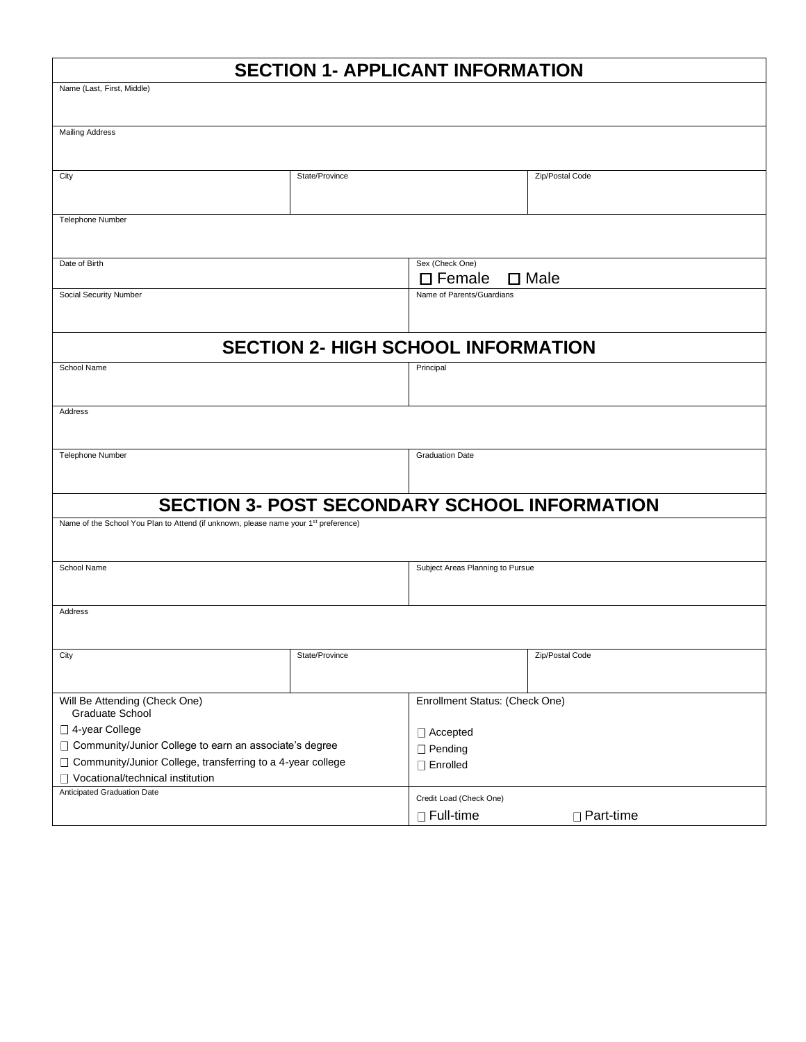# **SECTION 1- APPLICANT INFORMATION**

| Name (Last, First, Middle)                                                                      |                |                                    |                 |  |
|-------------------------------------------------------------------------------------------------|----------------|------------------------------------|-----------------|--|
|                                                                                                 |                |                                    |                 |  |
| <b>Mailing Address</b>                                                                          |                |                                    |                 |  |
|                                                                                                 |                |                                    |                 |  |
| City                                                                                            | State/Province |                                    | Zip/Postal Code |  |
|                                                                                                 |                |                                    |                 |  |
|                                                                                                 |                |                                    |                 |  |
| Telephone Number                                                                                |                |                                    |                 |  |
|                                                                                                 |                |                                    |                 |  |
| Date of Birth                                                                                   |                | Sex (Check One)                    |                 |  |
|                                                                                                 |                | $\square$ Female<br>$\square$ Male |                 |  |
| Social Security Number                                                                          |                | Name of Parents/Guardians          |                 |  |
|                                                                                                 |                |                                    |                 |  |
|                                                                                                 |                |                                    |                 |  |
| <b>SECTION 2- HIGH SCHOOL INFORMATION</b>                                                       |                |                                    |                 |  |
| School Name                                                                                     |                | Principal                          |                 |  |
|                                                                                                 |                |                                    |                 |  |
| Address                                                                                         |                |                                    |                 |  |
|                                                                                                 |                |                                    |                 |  |
|                                                                                                 |                |                                    |                 |  |
| Telephone Number                                                                                |                | <b>Graduation Date</b>             |                 |  |
|                                                                                                 |                |                                    |                 |  |
|                                                                                                 |                |                                    |                 |  |
| <b>SECTION 3- POST SECONDARY SCHOOL INFORMATION</b>                                             |                |                                    |                 |  |
| Name of the School You Plan to Attend (if unknown, please name your 1 <sup>st</sup> preference) |                |                                    |                 |  |
|                                                                                                 |                |                                    |                 |  |
| School Name                                                                                     |                | Subject Areas Planning to Pursue   |                 |  |
|                                                                                                 |                |                                    |                 |  |
| Address                                                                                         |                |                                    |                 |  |
|                                                                                                 |                |                                    |                 |  |
|                                                                                                 |                |                                    |                 |  |
| City                                                                                            | State/Province |                                    | Zip/Postal Code |  |
|                                                                                                 |                |                                    |                 |  |
| Will Be Attending (Check One)                                                                   |                | Enrollment Status: (Check One)     |                 |  |
| Graduate School                                                                                 |                |                                    |                 |  |
| □ 4-year College                                                                                |                | $\Box$ Accepted                    |                 |  |
| □ Community/Junior College to earn an associate's degree                                        |                | $\Box$ Pending                     |                 |  |
| □ Community/Junior College, transferring to a 4-year college                                    |                | □ Enrolled                         |                 |  |
| □ Vocational/technical institution                                                              |                |                                    |                 |  |
| Anticipated Graduation Date                                                                     |                | Credit Load (Check One)            |                 |  |
|                                                                                                 |                | □ Full-time                        | □ Part-time     |  |